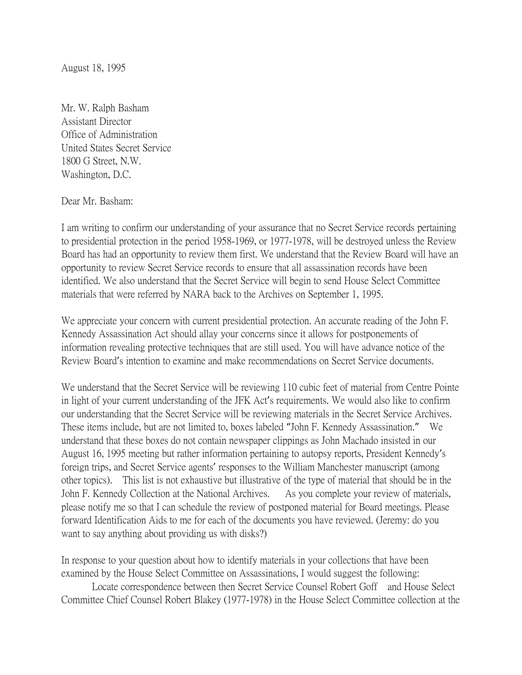August 18, 1995

Mr. W. Ralph Basham Assistant Director Office of Administration United States Secret Service 1800 G Street, N.W. Washington, D.C.

Dear Mr. Basham:

I am writing to confirm our understanding of your assurance that no Secret Service records pertaining to presidential protection in the period 1958-1969, or 1977-1978, will be destroyed unless the Review Board has had an opportunity to review them first. We understand that the Review Board will have an opportunity to review Secret Service records to ensure that all assassination records have been identified. We also understand that the Secret Service will begin to send House Select Committee materials that were referred by NARA back to the Archives on September 1, 1995.

We appreciate your concern with current presidential protection. An accurate reading of the John F. Kennedy Assassination Act should allay your concerns since it allows for postponements of information revealing protective techniques that are still used. You will have advance notice of the Review Board's intention to examine and make recommendations on Secret Service documents.

We understand that the Secret Service will be reviewing 110 cubic feet of material from Centre Pointe in light of your current understanding of the JFK Act's requirements. We would also like to confirm our understanding that the Secret Service will be reviewing materials in the Secret Service Archives. These items include, but are not limited to, boxes labeled "John F. Kennedy Assassination." We understand that these boxes do not contain newspaper clippings as John Machado insisted in our August 16, 1995 meeting but rather information pertaining to autopsy reports, President Kennedy's foreign trips, and Secret Service agents' responses to the William Manchester manuscript (among other topics). This list is not exhaustive but illustrative of the type of material that should be in the John F. Kennedy Collection at the National Archives. As you complete your review of materials, please notify me so that I can schedule the review of postponed material for Board meetings. Please forward Identification Aids to me for each of the documents you have reviewed. (Jeremy: do you want to say anything about providing us with disks?)

In response to your question about how to identify materials in your collections that have been examined by the House Select Committee on Assassinations, I would suggest the following:

Locate correspondence between then Secret Service Counsel Robert Goff and House Select Committee Chief Counsel Robert Blakey (1977-1978) in the House Select Committee collection at the